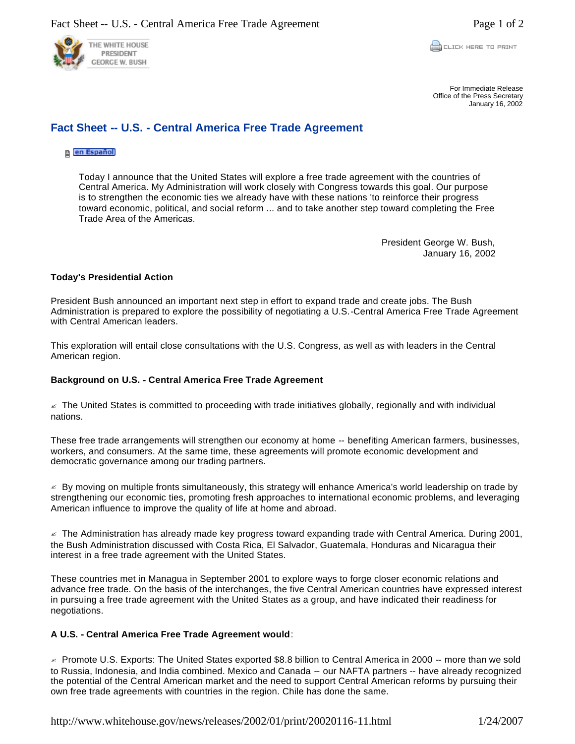

For Immediate Release Office of the Press Secretary January 16, 2002

# **Fact Sheet -- U.S. - Central America Free Trade Agreement**

## en Español)

Today I announce that the United States will explore a free trade agreement with the countries of Central America. My Administration will work closely with Congress towards this goal. Our purpose is to strengthen the economic ties we already have with these nations 'to reinforce their progress toward economic, political, and social reform ... and to take another step toward completing the Free Trade Area of the Americas.

> President George W. Bush, January 16, 2002

## **Today's Presidential Action**

President Bush announced an important next step in effort to expand trade and create jobs. The Bush Administration is prepared to explore the possibility of negotiating a U.S.-Central America Free Trade Agreement with Central American leaders.

This exploration will entail close consultations with the U.S. Congress, as well as with leaders in the Central American region.

## **Background on U.S. - Central America Free Trade Agreement**

 $\le$  The United States is committed to proceeding with trade initiatives globally, regionally and with individual nations.

These free trade arrangements will strengthen our economy at home -- benefiting American farmers, businesses, workers, and consumers. At the same time, these agreements will promote economic development and democratic governance among our trading partners.

 $\leq$  By moving on multiple fronts simultaneously, this strategy will enhance America's world leadership on trade by strengthening our economic ties, promoting fresh approaches to international economic problems, and leveraging American influence to improve the quality of life at home and abroad.

 $\le$  The Administration has already made key progress toward expanding trade with Central America. During 2001, the Bush Administration discussed with Costa Rica, El Salvador, Guatemala, Honduras and Nicaragua their interest in a free trade agreement with the United States.

These countries met in Managua in September 2001 to explore ways to forge closer economic relations and advance free trade. On the basis of the interchanges, the five Central American countries have expressed interest in pursuing a free trade agreement with the United States as a group, and have indicated their readiness for negotiations.

## **A U.S. - Central America Free Trade Agreement would**:

 $\le$  Promote U.S. Exports: The United States exported \$8.8 billion to Central America in 2000 -- more than we sold to Russia, Indonesia, and India combined. Mexico and Canada -- our NAFTA partners -- have already recognized the potential of the Central American market and the need to support Central American reforms by pursuing their own free trade agreements with countries in the region. Chile has done the same.